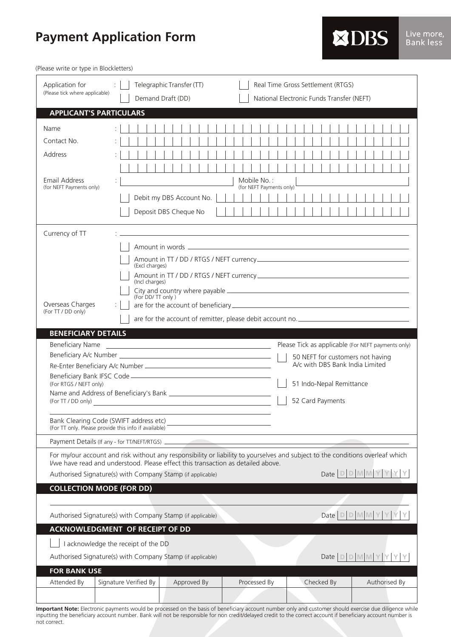## **Payment Application Form**

(Please write or type in Blockletters)

| Application for<br>(Please tick where applicable)                                                                                                                                                                  | Telegraphic Transfer (TT)<br>Demand Draft (DD)                                                                 | Real Time Gross Settlement (RTGS)<br>National Electronic Funds Transfer (NEFT) |  |  |
|--------------------------------------------------------------------------------------------------------------------------------------------------------------------------------------------------------------------|----------------------------------------------------------------------------------------------------------------|--------------------------------------------------------------------------------|--|--|
| <b>APPLICANT'S PARTICULARS</b>                                                                                                                                                                                     |                                                                                                                |                                                                                |  |  |
| Name                                                                                                                                                                                                               |                                                                                                                |                                                                                |  |  |
| Contact No.                                                                                                                                                                                                        |                                                                                                                |                                                                                |  |  |
| Address                                                                                                                                                                                                            |                                                                                                                |                                                                                |  |  |
|                                                                                                                                                                                                                    |                                                                                                                |                                                                                |  |  |
| Email Address                                                                                                                                                                                                      | Mobile No.:                                                                                                    |                                                                                |  |  |
| (for NEFT Payments only)                                                                                                                                                                                           | (for NEFT Payments only)                                                                                       |                                                                                |  |  |
|                                                                                                                                                                                                                    | Debit my DBS Account No.                                                                                       |                                                                                |  |  |
|                                                                                                                                                                                                                    | Deposit DBS Cheque No                                                                                          |                                                                                |  |  |
| Currency of TT                                                                                                                                                                                                     |                                                                                                                |                                                                                |  |  |
|                                                                                                                                                                                                                    |                                                                                                                |                                                                                |  |  |
|                                                                                                                                                                                                                    | (Excl charges)                                                                                                 |                                                                                |  |  |
|                                                                                                                                                                                                                    |                                                                                                                |                                                                                |  |  |
|                                                                                                                                                                                                                    | (Incl charges)                                                                                                 |                                                                                |  |  |
|                                                                                                                                                                                                                    | (For DD/TT only)                                                                                               |                                                                                |  |  |
| Overseas Charges<br>(For TT / DD only)                                                                                                                                                                             |                                                                                                                |                                                                                |  |  |
|                                                                                                                                                                                                                    |                                                                                                                |                                                                                |  |  |
| <b>BENEFICIARY DETAILS</b>                                                                                                                                                                                         |                                                                                                                |                                                                                |  |  |
| <b>Beneficiary Name</b>                                                                                                                                                                                            |                                                                                                                | Please Tick as applicable (For NEFT payments only)                             |  |  |
|                                                                                                                                                                                                                    |                                                                                                                | 50 NEFT for customers not having<br>A/c with DBS Bank India Limited            |  |  |
| (For RTGS / NEFT only)                                                                                                                                                                                             | Beneficiary Bank IFSC Code - Manual Communication of the Senator Code - All Contracts and Contracts and Code - | 51 Indo-Nepal Remittance                                                       |  |  |
| 52 Card Payments<br>(For TT / DD only)                                                                                                                                                                             |                                                                                                                |                                                                                |  |  |
| Bank Clearing Code (SWIFT address etc)                                                                                                                                                                             |                                                                                                                |                                                                                |  |  |
| (For TT only. Please provide this info if available)                                                                                                                                                               |                                                                                                                |                                                                                |  |  |
| Payment Details (If any - for TT/NEFT/RTGS) _                                                                                                                                                                      |                                                                                                                |                                                                                |  |  |
| For my/our account and risk without any responsibility or liability to yourselves and subject to the conditions overleaf which<br>I/we have read and understood. Please effect this transaction as detailed above. |                                                                                                                |                                                                                |  |  |
| Date D D M M Y Y Y Y<br>Authorised Signature(s) with Company Stamp (if applicable)                                                                                                                                 |                                                                                                                |                                                                                |  |  |
| <b>COLLECTION MODE (FOR DD)</b>                                                                                                                                                                                    |                                                                                                                |                                                                                |  |  |
|                                                                                                                                                                                                                    |                                                                                                                |                                                                                |  |  |
| Date D D M M Y Y Y<br>Authorised Signature(s) with Company Stamp (if applicable)                                                                                                                                   |                                                                                                                |                                                                                |  |  |
|                                                                                                                                                                                                                    | <b>ACKNOWLEDGMENT OF RECEIPT OF DD</b>                                                                         |                                                                                |  |  |
| I acknowledge the receipt of the DD                                                                                                                                                                                |                                                                                                                |                                                                                |  |  |
| Date $D D M M Y Y Y$<br>Authorised Signature(s) with Company Stamp (if applicable)                                                                                                                                 |                                                                                                                |                                                                                |  |  |
| <b>FOR BANK USE</b>                                                                                                                                                                                                |                                                                                                                |                                                                                |  |  |
| Attended By                                                                                                                                                                                                        | Signature Verified By<br>Approved By<br>Processed By                                                           | Authorised By<br>Checked By                                                    |  |  |
|                                                                                                                                                                                                                    |                                                                                                                |                                                                                |  |  |

**Important Note:** Electronic payments would be processed on the basis of beneficiary account number only and customer should exercise due diligence while inputting the beneficiary account number. Bank will not be responsible for non credit/delayed credit to the correct account if beneficiary account number is not correct.